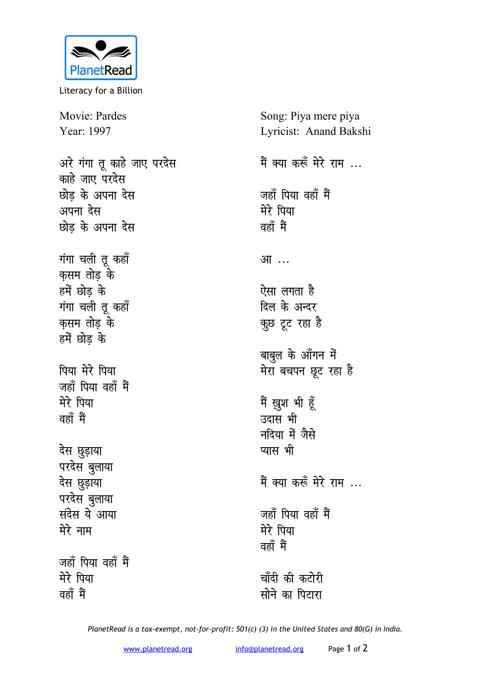

Literacy for a Billion

Movie: Pardes Year: 1997

अरे गंगा तू काहे जाए परदेस <u>काहे जाए परदेस</u> <u>**छोड़ के अपना देस**</u> अपना देस <u>**छोड़ के अपना देस**</u> **गंगा चली तू कहाँ** कसम तोड़ के हमें छोड़ के **गंगा चली तू कहाँ** कुसम तोड़ के हमें छोड़ के पिया मेरे पिया <u>जहाँ पिया वहाँ मैं</u> मेरे पिया <u>वहाँ</u> मैं देस छुड़ाया परदेस बुलाया **देस छुड़ाया** परदेस बुलाया **langer in the set of the set of the set of the set of the set of the set of the set of the set of the set of the s मेरे** नाम जहाँ पिया वहाँ मैं मेरे पिया

**ogk¡ eSa**

Song: Piya mere piya Lyricist: Anand Bakshi मैं क्या करूँ मेरे राम ... जहाँ पिया वहाँ मैं मेरे पिया <u>वहाँ</u> मैं आ<sup>...</sup> ऐसा लगता है दिल के अन्दर कुछ टूट रहा है बाबुल के आँगन में मेरा बचपन छूट रहा है मैं ख़ुश भी हूँ उदास भी **मदिया में जैसे प्यास भी** <u>मैं क्या करूँ मेरे राम ...</u> <u>जहाँ पिया वहाँ मैं</u> मेरे पिया <u>वहाँ मैं</u> चाँदी की कटोरी <u>सोने का पितारा</u>

*PlanetRead is a tax-exempt, not-for-profit: 501(c) (3) in the United States and 80(G) in India.*